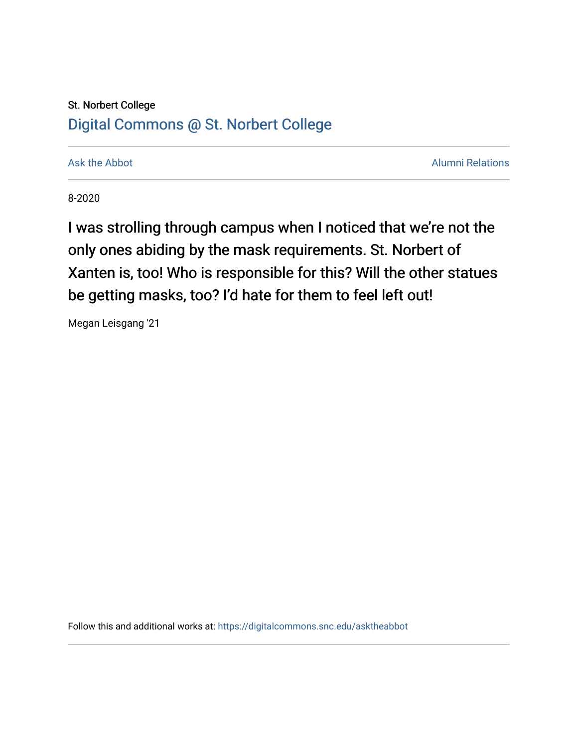## St. Norbert College [Digital Commons @ St. Norbert College](https://digitalcommons.snc.edu/)

[Ask the Abbot](https://digitalcommons.snc.edu/asktheabbot) **Alumni Relations** Ask the Abbot [Alumni Relations](https://digitalcommons.snc.edu/alumni) and Alumni Relations and Alumni Relations and Alumni Relations and Alumni Relations and Alumni Relations and Alumni Relations and Alumni Relations and Alumni

8-2020

I was strolling through campus when I noticed that we're not the only ones abiding by the mask requirements. St. Norbert of Xanten is, too! Who is responsible for this? Will the other statues be getting masks, too? I'd hate for them to feel left out!

Megan Leisgang '21

Follow this and additional works at: [https://digitalcommons.snc.edu/asktheabbot](https://digitalcommons.snc.edu/asktheabbot?utm_source=digitalcommons.snc.edu%2Fasktheabbot%2F179&utm_medium=PDF&utm_campaign=PDFCoverPages)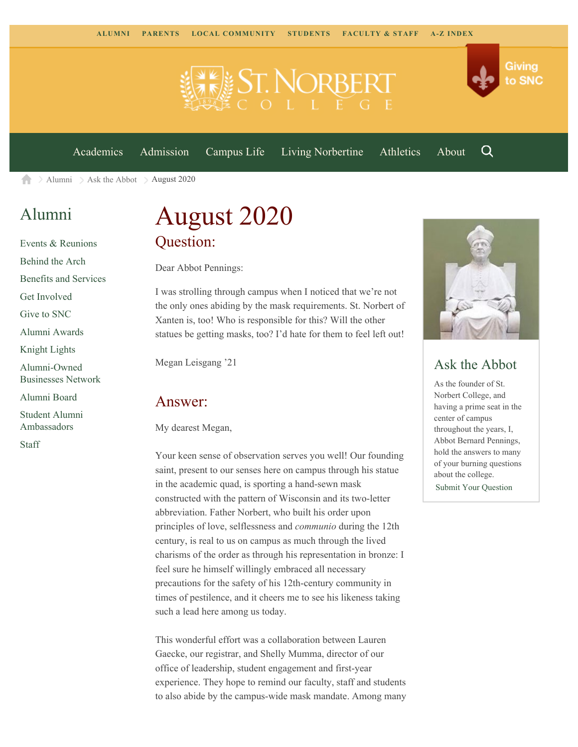

[Academics](https://www.snc.edu/academics) [Admission](https://www.snc.edu/admission) [Campus Life](https://www.snc.edu/campuslife) [Living Norbertine](https://www.snc.edu/livingnorbertine) [Athletics](https://www.snc.edu/athletics) [About](https://www.snc.edu/about)

Q

Giving

to SNC

[Alumni](https://www.snc.edu/alumni/)  $\geq$  [Ask the Abbot](https://www.snc.edu/alumni/abbot/)  $\geq$  August 2020 合

## [Alumni](https://www.snc.edu/alumni/index.html)

[Events & Reunions](https://www.snc.edu/alumni/event/index.html) [Behind the Arch](https://www.snc.edu/alumni/event/behindthearch/) [Benefits and Services](https://www.snc.edu/alumni/benefits.html) [Get Involved](https://www.snc.edu/alumni/getinvolved.html) [Give to SNC](http://giving.snc.edu/) [Alumni Awards](https://www.snc.edu/alumni/awards/index.html) [Knight Lights](https://www.snc.edu/alumni/knightlights/index.html) [Alumni-Owned](https://www.snc.edu/alumni/directory/index.html) [Businesses Network](https://www.snc.edu/alumni/directory/index.html) [Alumni Board](https://www.snc.edu/alumni/alumniboard.html) [Student Alumni](https://www.snc.edu/alumni/saa.html) [Ambassadors](https://www.snc.edu/alumni/saa.html)

[Staff](https://www.snc.edu/alumni/contactus.html)

# August 2020 Question:

Dear Abbot Pennings:

I was strolling through campus when I noticed that we're not the only ones abiding by the mask requirements. St. Norbert of Xanten is, too! Who is responsible for this? Will the other statues be getting masks, too? I'd hate for them to feel left out!

Megan Leisgang '21

#### Answer:

My dearest Megan,

Your keen sense of observation serves you well! Our founding saint, present to our senses here on campus through his statue in the academic quad, is sporting a hand-sewn mask constructed with the pattern of Wisconsin and its two-letter abbreviation. Father Norbert, who built his order upon principles of love, selflessness and *communio* during the 12th century, is real to us on campus as much through the lived charisms of the order as through his representation in bronze: I feel sure he himself willingly embraced all necessary precautions for the safety of his 12th-century community in times of pestilence, and it cheers me to see his likeness taking such a lead here among us today.

This wonderful effort was a collaboration between Lauren Gaecke, our registrar, and Shelly Mumma, director of our office of leadership, student engagement and first-year experience. They hope to remind our faculty, staff and students to also abide by the campus-wide mask mandate. Among many



### Ask the Abbot

As the founder of St. Norbert College, and having a prime seat in the center of campus throughout the years, I, Abbot Bernard Pennings, hold the answers to many of your burning questions about the college. [Submit Your Question](https://www.snc.edu/alumni/abbot/index.html)